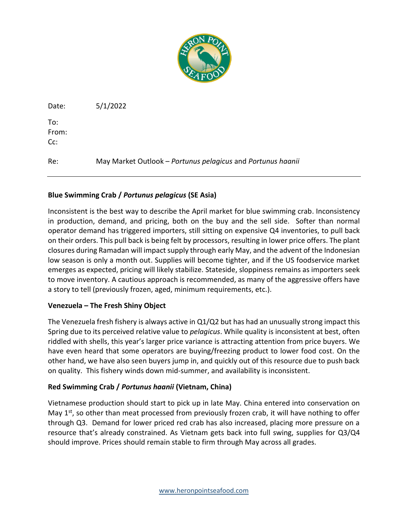

Date: 5/1/2022

To: From: Cc:

Re: May Market Outlook – *Portunus pelagicus* and *Portunus haanii*

## **Blue Swimming Crab /** *Portunus pelagicus* **(SE Asia)**

Inconsistent is the best way to describe the April market for blue swimming crab. Inconsistency in production, demand, and pricing, both on the buy and the sell side. Softer than normal operator demand has triggered importers, still sitting on expensive Q4 inventories, to pull back on their orders. This pull back is being felt by processors, resulting in lower price offers. The plant closures during Ramadan will impact supply through early May, and the advent of the Indonesian low season is only a month out. Supplies will become tighter, and if the US foodservice market emerges as expected, pricing will likely stabilize. Stateside, sloppiness remains as importers seek to move inventory. A cautious approach is recommended, as many of the aggressive offers have a story to tell (previously frozen, aged, minimum requirements, etc.).

## **Venezuela – The Fresh Shiny Object**

The Venezuela fresh fishery is always active in Q1/Q2 but has had an unusually strong impact this Spring due to its perceived relative value to *pelagicus*. While quality is inconsistent at best, often riddled with shells, this year's larger price variance is attracting attention from price buyers. We have even heard that some operators are buying/freezing product to lower food cost. On the other hand, we have also seen buyers jump in, and quickly out of this resource due to push back on quality. This fishery winds down mid-summer, and availability is inconsistent.

## **Red Swimming Crab /** *Portunus haanii* **(Vietnam, China)**

Vietnamese production should start to pick up in late May. China entered into conservation on May  $1<sup>st</sup>$ , so other than meat processed from previously frozen crab, it will have nothing to offer through Q3. Demand for lower priced red crab has also increased, placing more pressure on a resource that's already constrained. As Vietnam gets back into full swing, supplies for Q3/Q4 should improve. Prices should remain stable to firm through May across all grades.